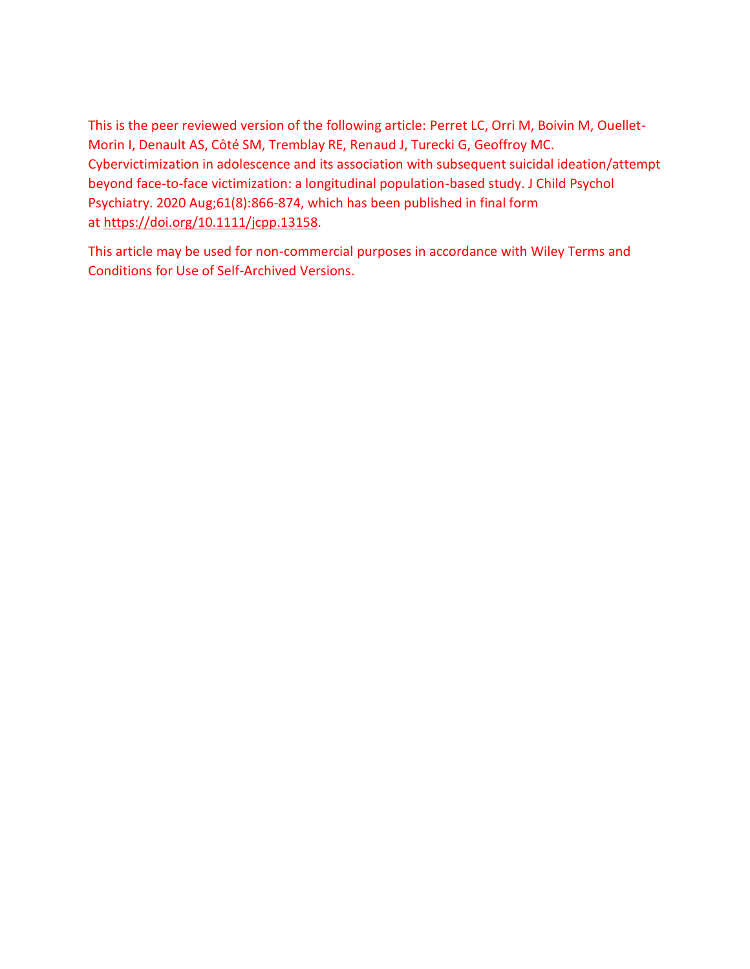This is the peer reviewed version of the following article: Perret LC, Orri M, Boivin M, Ouellet-Morin I, Denault AS, Côté SM, Tremblay RE, Renaud J, Turecki G, Geoffroy MC. Cybervictimization in adolescence and its association with subsequent suicidal ideation/attempt beyond face-to-face victimization: a longitudinal population-based study. J Child Psychol Psychiatry. 2020 Aug;61(8):866-874, which has been published in final form at [https://doi.org/10.1111/jcpp.13](https://doi.org/10.1111/jcpp.1)158.

This article may be used for non-commercial purposes in accordance with Wiley Terms and Conditions for Use of Self-Archived Versions.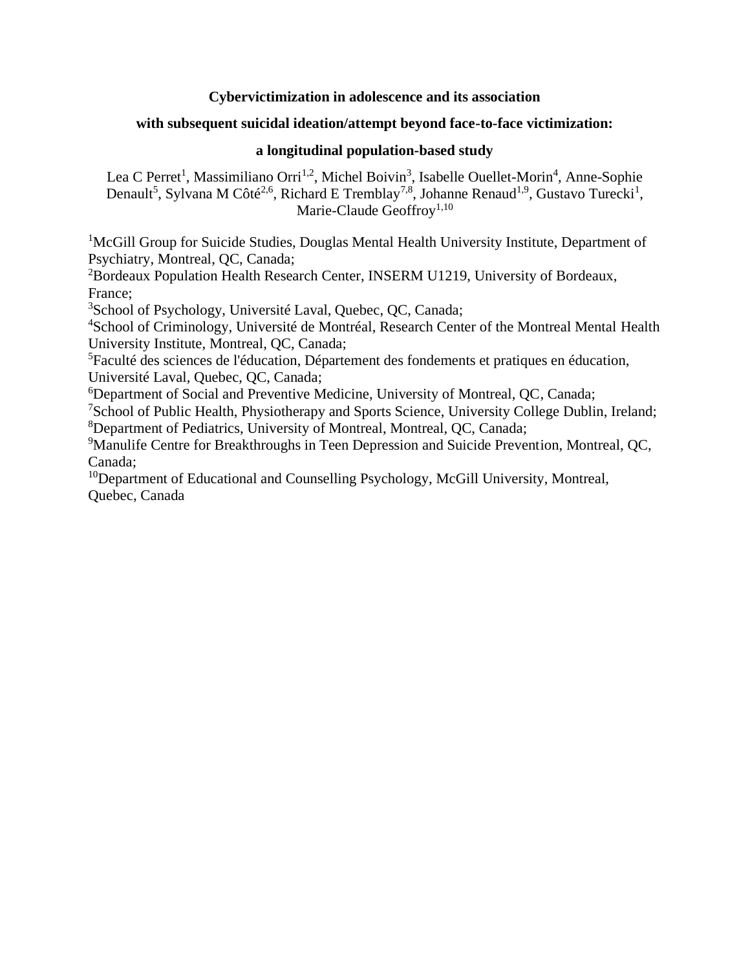## **Cybervictimization in adolescence and its association**

# **with subsequent suicidal ideation/attempt beyond face-to-face victimization:**

# **a longitudinal population-based study**

Lea C Perret<sup>1</sup>, Massimiliano Orri<sup>1,2</sup>, Michel Boivin<sup>3</sup>, Isabelle Ouellet-Morin<sup>4</sup>, Anne-Sophie Denault<sup>5</sup>, Sylvana M Côté<sup>2,6</sup>, Richard E Tremblay<sup>7,8</sup>, Johanne Renaud<sup>1,9</sup>, Gustavo Turecki<sup>1</sup>, Marie-Claude Geoffroy<sup>1,10</sup>

<sup>1</sup>McGill Group for Suicide Studies, Douglas Mental Health University Institute, Department of Psychiatry, Montreal, QC, Canada;

<sup>2</sup>Bordeaux Population Health Research Center, INSERM U1219, University of Bordeaux, France;

<sup>3</sup>School of Psychology, Université Laval, Quebec, QC, Canada;

<sup>4</sup>School of Criminology, Université de Montréal, Research Center of the Montreal Mental Health University Institute, Montreal, QC, Canada;

<sup>5</sup>Faculté des sciences de l'éducation, Département des fondements et pratiques en éducation, Université Laval, Quebec, QC, Canada;

<sup>6</sup>Department of Social and Preventive Medicine, University of Montreal, QC, Canada;

<sup>7</sup>School of Public Health, Physiotherapy and Sports Science, University College Dublin, Ireland; <sup>8</sup>Department of Pediatrics, University of Montreal, Montreal, QC, Canada;

<sup>9</sup>Manulife Centre for Breakthroughs in Teen Depression and Suicide Prevention, Montreal, OC, Canada;

<sup>10</sup>Department of Educational and Counselling Psychology, McGill University, Montreal, Quebec, Canada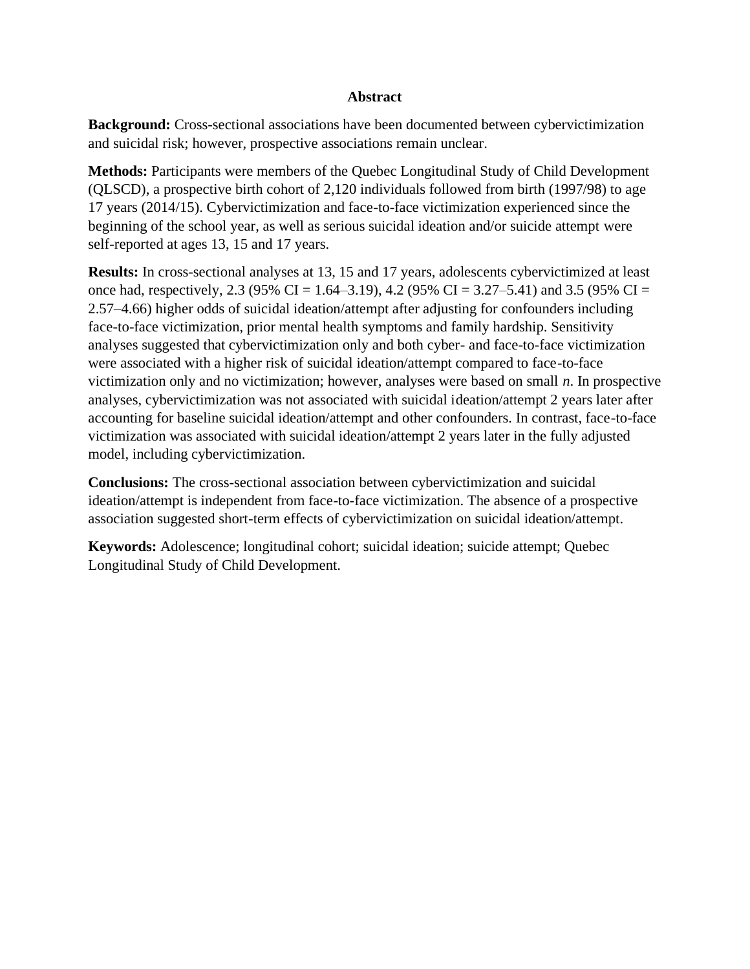### **Abstract**

**Background:** Cross-sectional associations have been documented between cybervictimization and suicidal risk; however, prospective associations remain unclear.

**Methods:** Participants were members of the Quebec Longitudinal Study of Child Development (QLSCD), a prospective birth cohort of 2,120 individuals followed from birth (1997/98) to age 17 years (2014/15). Cybervictimization and face-to-face victimization experienced since the beginning of the school year, as well as serious suicidal ideation and/or suicide attempt were self-reported at ages 13, 15 and 17 years.

**Results:** In cross-sectional analyses at 13, 15 and 17 years, adolescents cybervictimized at least once had, respectively, 2.3 (95% CI = 1.64–3.19), 4.2 (95% CI = 3.27–5.41) and 3.5 (95% CI = 2.57–4.66) higher odds of suicidal ideation/attempt after adjusting for confounders including face-to-face victimization, prior mental health symptoms and family hardship. Sensitivity analyses suggested that cybervictimization only and both cyber- and face-to-face victimization were associated with a higher risk of suicidal ideation/attempt compared to face-to-face victimization only and no victimization; however, analyses were based on small *n*. In prospective analyses, cybervictimization was not associated with suicidal ideation/attempt 2 years later after accounting for baseline suicidal ideation/attempt and other confounders. In contrast, face-to-face victimization was associated with suicidal ideation/attempt 2 years later in the fully adjusted model, including cybervictimization.

**Conclusions:** The cross-sectional association between cybervictimization and suicidal ideation/attempt is independent from face-to-face victimization. The absence of a prospective association suggested short-term effects of cybervictimization on suicidal ideation/attempt.

**Keywords:** Adolescence; longitudinal cohort; suicidal ideation; suicide attempt; Quebec Longitudinal Study of Child Development.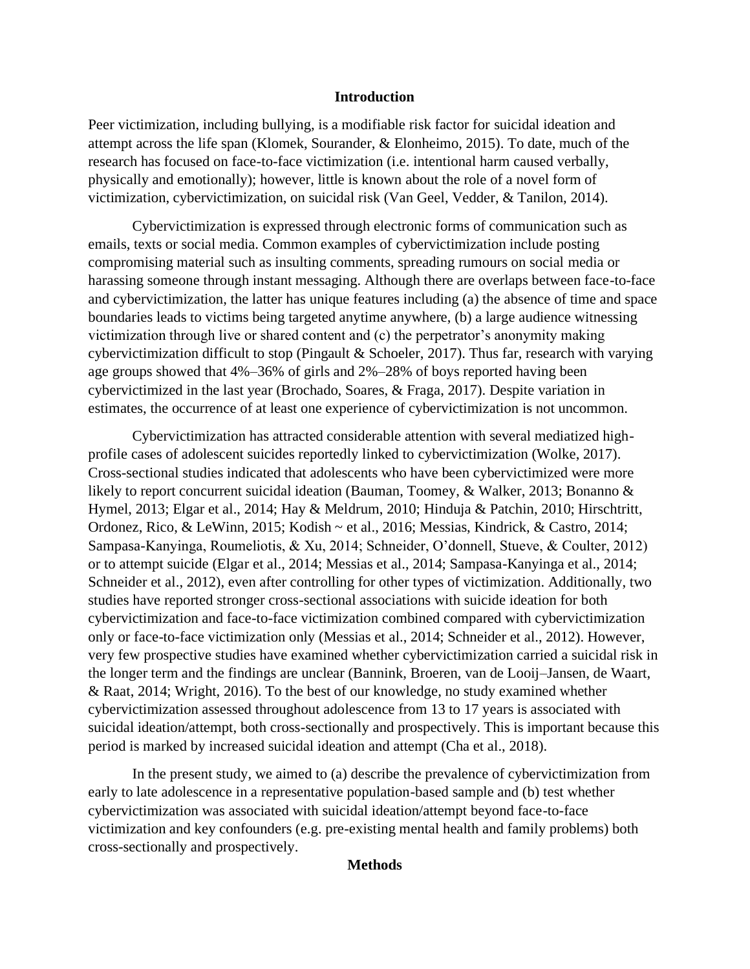### **Introduction**

Peer victimization, including bullying, is a modifiable risk factor for suicidal ideation and attempt across the life span (Klomek, Sourander, & Elonheimo, 2015). To date, much of the research has focused on face-to-face victimization (i.e. intentional harm caused verbally, physically and emotionally); however, little is known about the role of a novel form of victimization, cybervictimization, on suicidal risk (Van Geel, Vedder, & Tanilon, 2014).

Cybervictimization is expressed through electronic forms of communication such as emails, texts or social media. Common examples of cybervictimization include posting compromising material such as insulting comments, spreading rumours on social media or harassing someone through instant messaging. Although there are overlaps between face-to-face and cybervictimization, the latter has unique features including (a) the absence of time and space boundaries leads to victims being targeted anytime anywhere, (b) a large audience witnessing victimization through live or shared content and (c) the perpetrator's anonymity making cybervictimization difficult to stop (Pingault & Schoeler, 2017). Thus far, research with varying age groups showed that 4%–36% of girls and 2%–28% of boys reported having been cybervictimized in the last year (Brochado, Soares, & Fraga, 2017). Despite variation in estimates, the occurrence of at least one experience of cybervictimization is not uncommon.

Cybervictimization has attracted considerable attention with several mediatized highprofile cases of adolescent suicides reportedly linked to cybervictimization (Wolke, 2017). Cross-sectional studies indicated that adolescents who have been cybervictimized were more likely to report concurrent suicidal ideation (Bauman, Toomey, & Walker, 2013; Bonanno & Hymel, 2013; Elgar et al., 2014; Hay & Meldrum, 2010; Hinduja & Patchin, 2010; Hirschtritt, Ordonez, Rico, & LeWinn, 2015; Kodish ~ et al., 2016; Messias, Kindrick, & Castro, 2014; Sampasa-Kanyinga, Roumeliotis, & Xu, 2014; Schneider, O'donnell, Stueve, & Coulter, 2012) or to attempt suicide (Elgar et al., 2014; Messias et al., 2014; Sampasa-Kanyinga et al., 2014; Schneider et al., 2012), even after controlling for other types of victimization. Additionally, two studies have reported stronger cross-sectional associations with suicide ideation for both cybervictimization and face-to-face victimization combined compared with cybervictimization only or face-to-face victimization only (Messias et al., 2014; Schneider et al., 2012). However, very few prospective studies have examined whether cybervictimization carried a suicidal risk in the longer term and the findings are unclear (Bannink, Broeren, van de Looij–Jansen, de Waart, & Raat, 2014; Wright, 2016). To the best of our knowledge, no study examined whether cybervictimization assessed throughout adolescence from 13 to 17 years is associated with suicidal ideation/attempt, both cross-sectionally and prospectively. This is important because this period is marked by increased suicidal ideation and attempt (Cha et al., 2018).

In the present study, we aimed to (a) describe the prevalence of cybervictimization from early to late adolescence in a representative population-based sample and (b) test whether cybervictimization was associated with suicidal ideation/attempt beyond face-to-face victimization and key confounders (e.g. pre-existing mental health and family problems) both cross-sectionally and prospectively.

### **Methods**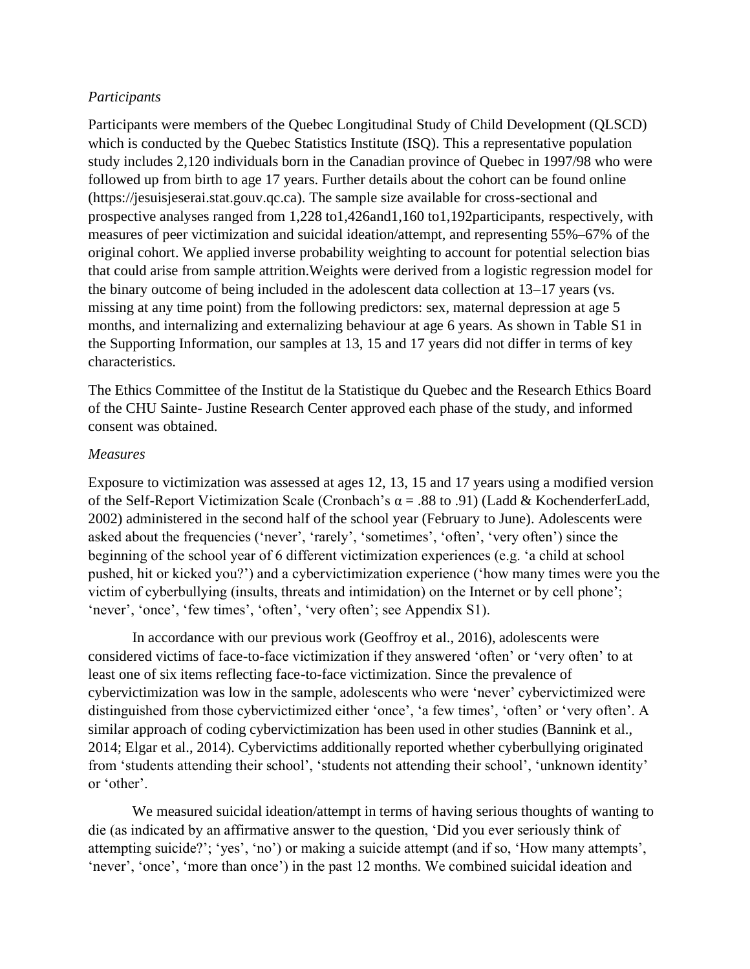## *Participants*

Participants were members of the Quebec Longitudinal Study of Child Development (QLSCD) which is conducted by the Quebec Statistics Institute (ISO). This a representative population study includes 2,120 individuals born in the Canadian province of Quebec in 1997/98 who were followed up from birth to age 17 years. Further details about the cohort can be found online (https://jesuisjeserai.stat.gouv.qc.ca). The sample size available for cross-sectional and prospective analyses ranged from 1,228 to1,426and1,160 to1,192participants, respectively, with measures of peer victimization and suicidal ideation/attempt, and representing 55%–67% of the original cohort. We applied inverse probability weighting to account for potential selection bias that could arise from sample attrition.Weights were derived from a logistic regression model for the binary outcome of being included in the adolescent data collection at 13–17 years (vs. missing at any time point) from the following predictors: sex, maternal depression at age 5 months, and internalizing and externalizing behaviour at age 6 years. As shown in Table S1 in the Supporting Information, our samples at 13, 15 and 17 years did not differ in terms of key characteristics.

The Ethics Committee of the Institut de la Statistique du Quebec and the Research Ethics Board of the CHU Sainte- Justine Research Center approved each phase of the study, and informed consent was obtained.

### *Measures*

Exposure to victimization was assessed at ages 12, 13, 15 and 17 years using a modified version of the Self-Report Victimization Scale (Cronbach's  $\alpha$  = .88 to .91) (Ladd & KochenderferLadd, 2002) administered in the second half of the school year (February to June). Adolescents were asked about the frequencies ('never', 'rarely', 'sometimes', 'often', 'very often') since the beginning of the school year of 6 different victimization experiences (e.g. 'a child at school pushed, hit or kicked you?') and a cybervictimization experience ('how many times were you the victim of cyberbullying (insults, threats and intimidation) on the Internet or by cell phone'; 'never', 'once', 'few times', 'often', 'very often'; see Appendix S1).

In accordance with our previous work (Geoffroy et al., 2016), adolescents were considered victims of face-to-face victimization if they answered 'often' or 'very often' to at least one of six items reflecting face-to-face victimization. Since the prevalence of cybervictimization was low in the sample, adolescents who were 'never' cybervictimized were distinguished from those cybervictimized either 'once', 'a few times', 'often' or 'very often'. A similar approach of coding cybervictimization has been used in other studies (Bannink et al., 2014; Elgar et al., 2014). Cybervictims additionally reported whether cyberbullying originated from 'students attending their school', 'students not attending their school', 'unknown identity' or 'other'.

We measured suicidal ideation/attempt in terms of having serious thoughts of wanting to die (as indicated by an affirmative answer to the question, 'Did you ever seriously think of attempting suicide?'; 'yes', 'no') or making a suicide attempt (and if so, 'How many attempts', 'never', 'once', 'more than once') in the past 12 months. We combined suicidal ideation and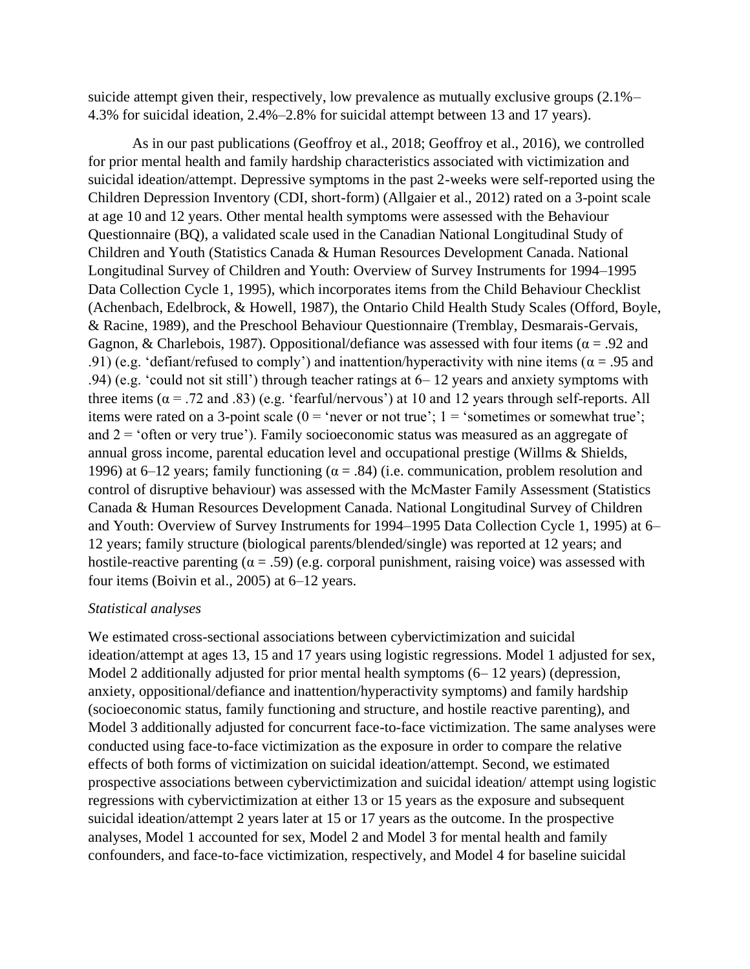suicide attempt given their, respectively, low prevalence as mutually exclusive groups (2.1%– 4.3% for suicidal ideation, 2.4%–2.8% for suicidal attempt between 13 and 17 years).

As in our past publications (Geoffroy et al., 2018; Geoffroy et al., 2016), we controlled for prior mental health and family hardship characteristics associated with victimization and suicidal ideation/attempt. Depressive symptoms in the past 2-weeks were self-reported using the Children Depression Inventory (CDI, short-form) (Allgaier et al., 2012) rated on a 3-point scale at age 10 and 12 years. Other mental health symptoms were assessed with the Behaviour Questionnaire (BQ), a validated scale used in the Canadian National Longitudinal Study of Children and Youth (Statistics Canada & Human Resources Development Canada. National Longitudinal Survey of Children and Youth: Overview of Survey Instruments for 1994–1995 Data Collection Cycle 1, 1995), which incorporates items from the Child Behaviour Checklist (Achenbach, Edelbrock, & Howell, 1987), the Ontario Child Health Study Scales (Offord, Boyle, & Racine, 1989), and the Preschool Behaviour Questionnaire (Tremblay, Desmarais-Gervais, Gagnon, & Charlebois, 1987). Oppositional/defiance was assessed with four items ( $\alpha$  = .92 and .91) (e.g. 'defiant/refused to comply') and inattention/hyperactivity with nine items ( $\alpha$  = .95 and .94) (e.g. 'could not sit still') through teacher ratings at 6– 12 years and anxiety symptoms with three items ( $\alpha$  = .72 and .83) (e.g. 'fearful/nervous') at 10 and 12 years through self-reports. All items were rated on a 3-point scale  $(0 = 'never or not true'; 1 = 'sometimes or somewhat true';$ and  $2 =$  'often or very true'). Family socioeconomic status was measured as an aggregate of annual gross income, parental education level and occupational prestige (Willms & Shields, 1996) at 6–12 years; family functioning ( $\alpha$  = .84) (i.e. communication, problem resolution and control of disruptive behaviour) was assessed with the McMaster Family Assessment (Statistics Canada & Human Resources Development Canada. National Longitudinal Survey of Children and Youth: Overview of Survey Instruments for 1994–1995 Data Collection Cycle 1, 1995) at 6– 12 years; family structure (biological parents/blended/single) was reported at 12 years; and hostile-reactive parenting ( $\alpha = .59$ ) (e.g. corporal punishment, raising voice) was assessed with four items (Boivin et al., 2005) at 6–12 years.

### *Statistical analyses*

We estimated cross-sectional associations between cybervictimization and suicidal ideation/attempt at ages 13, 15 and 17 years using logistic regressions. Model 1 adjusted for sex, Model 2 additionally adjusted for prior mental health symptoms  $(6-12 \text{ years})$  (depression, anxiety, oppositional/defiance and inattention/hyperactivity symptoms) and family hardship (socioeconomic status, family functioning and structure, and hostile reactive parenting), and Model 3 additionally adjusted for concurrent face-to-face victimization. The same analyses were conducted using face-to-face victimization as the exposure in order to compare the relative effects of both forms of victimization on suicidal ideation/attempt. Second, we estimated prospective associations between cybervictimization and suicidal ideation/ attempt using logistic regressions with cybervictimization at either 13 or 15 years as the exposure and subsequent suicidal ideation/attempt 2 years later at 15 or 17 years as the outcome. In the prospective analyses, Model 1 accounted for sex, Model 2 and Model 3 for mental health and family confounders, and face-to-face victimization, respectively, and Model 4 for baseline suicidal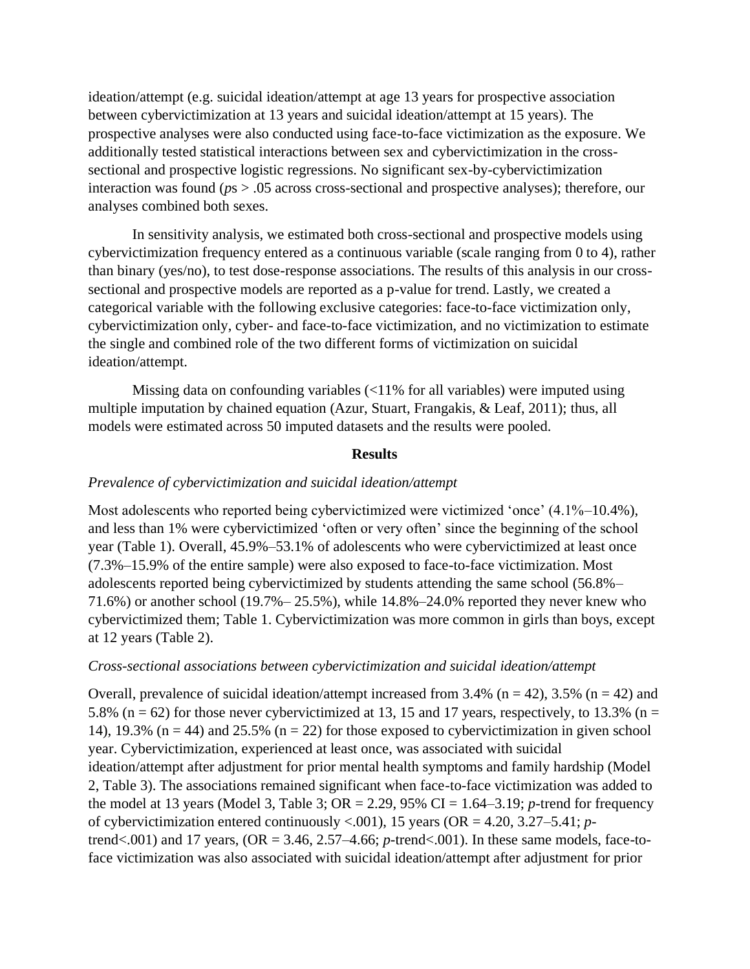ideation/attempt (e.g. suicidal ideation/attempt at age 13 years for prospective association between cybervictimization at 13 years and suicidal ideation/attempt at 15 years). The prospective analyses were also conducted using face-to-face victimization as the exposure. We additionally tested statistical interactions between sex and cybervictimization in the crosssectional and prospective logistic regressions. No significant sex-by-cybervictimization interaction was found (*p*s > .05 across cross-sectional and prospective analyses); therefore, our analyses combined both sexes.

In sensitivity analysis, we estimated both cross-sectional and prospective models using cybervictimization frequency entered as a continuous variable (scale ranging from 0 to 4), rather than binary (yes/no), to test dose-response associations. The results of this analysis in our crosssectional and prospective models are reported as a p-value for trend. Lastly, we created a categorical variable with the following exclusive categories: face-to-face victimization only, cybervictimization only, cyber- and face-to-face victimization, and no victimization to estimate the single and combined role of the two different forms of victimization on suicidal ideation/attempt.

Missing data on confounding variables (<11% for all variables) were imputed using multiple imputation by chained equation (Azur, Stuart, Frangakis, & Leaf, 2011); thus, all models were estimated across 50 imputed datasets and the results were pooled.

### **Results**

#### *Prevalence of cybervictimization and suicidal ideation/attempt*

Most adolescents who reported being cybervictimized were victimized 'once' (4.1%–10.4%), and less than 1% were cybervictimized 'often or very often' since the beginning of the school year (Table 1). Overall, 45.9%–53.1% of adolescents who were cybervictimized at least once (7.3%–15.9% of the entire sample) were also exposed to face-to-face victimization. Most adolescents reported being cybervictimized by students attending the same school (56.8%– 71.6%) or another school (19.7%– 25.5%), while 14.8%–24.0% reported they never knew who cybervictimized them; Table 1. Cybervictimization was more common in girls than boys, except at 12 years (Table 2).

#### *Cross-sectional associations between cybervictimization and suicidal ideation/attempt*

Overall, prevalence of suicidal ideation/attempt increased from 3.4% ( $n = 42$ ), 3.5% ( $n = 42$ ) and 5.8% ( $n = 62$ ) for those never cybervictimized at 13, 15 and 17 years, respectively, to 13.3% ( $n =$ 14), 19.3% ( $n = 44$ ) and 25.5% ( $n = 22$ ) for those exposed to cybervictimization in given school year. Cybervictimization, experienced at least once, was associated with suicidal ideation/attempt after adjustment for prior mental health symptoms and family hardship (Model 2, Table 3). The associations remained significant when face-to-face victimization was added to the model at 13 years (Model 3, Table 3; OR = 2.29, 95% CI = 1.64–3.19; *p*-trend for frequency of cybervictimization entered continuously <.001), 15 years (OR = 4.20, 3.27–5.41; *p*trend<.001) and 17 years, (OR = 3.46, 2.57–4.66; *p*-trend<.001). In these same models, face-toface victimization was also associated with suicidal ideation/attempt after adjustment for prior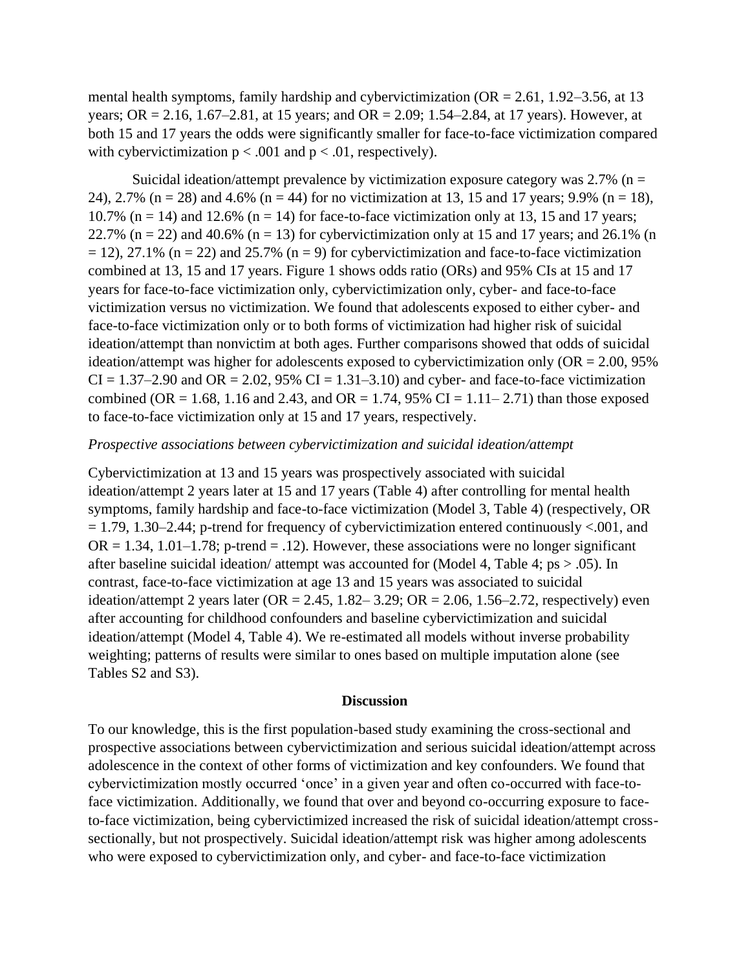mental health symptoms, family hardship and cybervictimization (OR = 2.61, 1.92–3.56, at 13 years; OR = 2.16, 1.67–2.81, at 15 years; and OR = 2.09; 1.54–2.84, at 17 years). However, at both 15 and 17 years the odds were significantly smaller for face-to-face victimization compared with cybervictimization  $p < .001$  and  $p < .01$ , respectively).

Suicidal ideation/attempt prevalence by victimization exposure category was  $2.7\%$  (n = 24), 2.7% (n = 28) and 4.6% (n = 44) for no victimization at 13, 15 and 17 years; 9.9% (n = 18), 10.7% (n = 14) and 12.6% (n = 14) for face-to-face victimization only at 13, 15 and 17 years; 22.7% (n = 22) and 40.6% (n = 13) for cybervictimization only at 15 and 17 years; and 26.1% (n  $= 12$ ), 27.1% (n = 22) and 25.7% (n = 9) for cybervictimization and face-to-face victimization combined at 13, 15 and 17 years. Figure 1 shows odds ratio (ORs) and 95% CIs at 15 and 17 years for face-to-face victimization only, cybervictimization only, cyber- and face-to-face victimization versus no victimization. We found that adolescents exposed to either cyber- and face-to-face victimization only or to both forms of victimization had higher risk of suicidal ideation/attempt than nonvictim at both ages. Further comparisons showed that odds of suicidal ideation/attempt was higher for adolescents exposed to cybervictimization only (OR = 2.00, 95%  $CI = 1.37-2.90$  and  $OR = 2.02$ , 95%  $CI = 1.31-3.10$  and cyber- and face-to-face victimization combined (OR = 1.68, 1.16 and 2.43, and OR = 1.74, 95% CI = 1.11–2.71) than those exposed to face-to-face victimization only at 15 and 17 years, respectively.

### *Prospective associations between cybervictimization and suicidal ideation/attempt*

Cybervictimization at 13 and 15 years was prospectively associated with suicidal ideation/attempt 2 years later at 15 and 17 years (Table 4) after controlling for mental health symptoms, family hardship and face-to-face victimization (Model 3, Table 4) (respectively, OR  $= 1.79, 1.30 - 2.44$ ; p-trend for frequency of cybervictimization entered continuously <.001, and  $OR = 1.34, 1.01-1.78$ ; p-trend = .12). However, these associations were no longer significant after baseline suicidal ideation/ attempt was accounted for (Model 4, Table 4;  $ps > .05$ ). In contrast, face-to-face victimization at age 13 and 15 years was associated to suicidal ideation/attempt 2 years later ( $OR = 2.45$ , 1.82–3.29;  $OR = 2.06$ , 1.56–2.72, respectively) even after accounting for childhood confounders and baseline cybervictimization and suicidal ideation/attempt (Model 4, Table 4). We re-estimated all models without inverse probability weighting; patterns of results were similar to ones based on multiple imputation alone (see Tables S2 and S3).

#### **Discussion**

To our knowledge, this is the first population-based study examining the cross-sectional and prospective associations between cybervictimization and serious suicidal ideation/attempt across adolescence in the context of other forms of victimization and key confounders. We found that cybervictimization mostly occurred 'once' in a given year and often co-occurred with face-toface victimization. Additionally, we found that over and beyond co-occurring exposure to faceto-face victimization, being cybervictimized increased the risk of suicidal ideation/attempt crosssectionally, but not prospectively. Suicidal ideation/attempt risk was higher among adolescents who were exposed to cybervictimization only, and cyber- and face-to-face victimization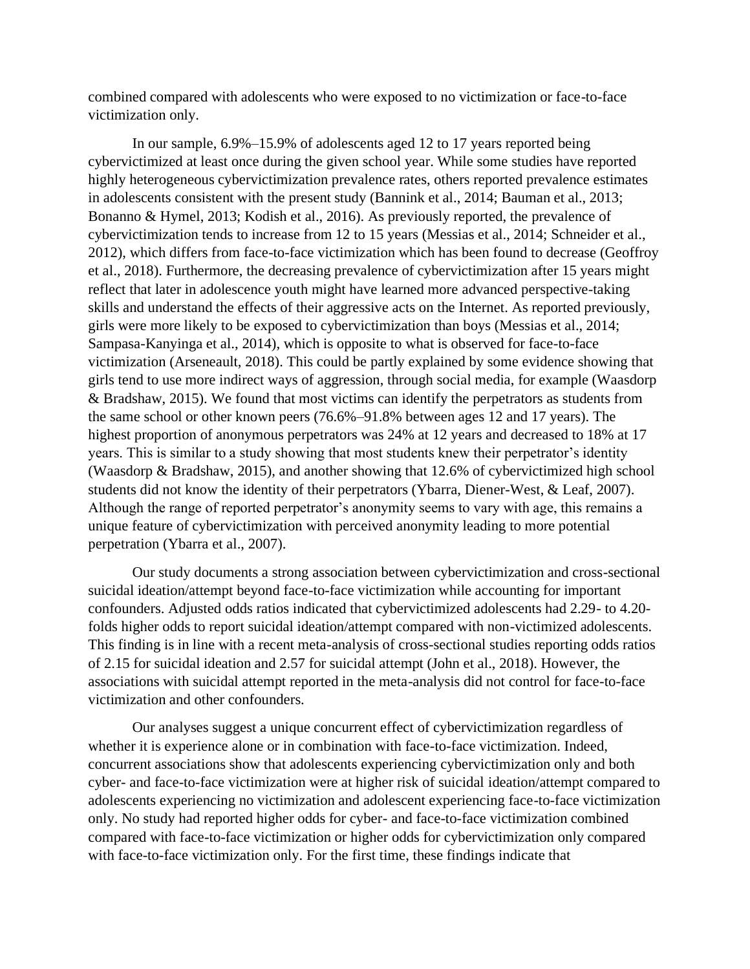combined compared with adolescents who were exposed to no victimization or face-to-face victimization only.

In our sample, 6.9%–15.9% of adolescents aged 12 to 17 years reported being cybervictimized at least once during the given school year. While some studies have reported highly heterogeneous cybervictimization prevalence rates, others reported prevalence estimates in adolescents consistent with the present study (Bannink et al., 2014; Bauman et al., 2013; Bonanno & Hymel, 2013; Kodish et al., 2016). As previously reported, the prevalence of cybervictimization tends to increase from 12 to 15 years (Messias et al., 2014; Schneider et al., 2012), which differs from face-to-face victimization which has been found to decrease (Geoffroy et al., 2018). Furthermore, the decreasing prevalence of cybervictimization after 15 years might reflect that later in adolescence youth might have learned more advanced perspective-taking skills and understand the effects of their aggressive acts on the Internet. As reported previously, girls were more likely to be exposed to cybervictimization than boys (Messias et al., 2014; Sampasa-Kanyinga et al., 2014), which is opposite to what is observed for face-to-face victimization (Arseneault, 2018). This could be partly explained by some evidence showing that girls tend to use more indirect ways of aggression, through social media, for example (Waasdorp & Bradshaw, 2015). We found that most victims can identify the perpetrators as students from the same school or other known peers (76.6%–91.8% between ages 12 and 17 years). The highest proportion of anonymous perpetrators was 24% at 12 years and decreased to 18% at 17 years. This is similar to a study showing that most students knew their perpetrator's identity (Waasdorp & Bradshaw, 2015), and another showing that 12.6% of cybervictimized high school students did not know the identity of their perpetrators (Ybarra, Diener-West, & Leaf, 2007). Although the range of reported perpetrator's anonymity seems to vary with age, this remains a unique feature of cybervictimization with perceived anonymity leading to more potential perpetration (Ybarra et al., 2007).

Our study documents a strong association between cybervictimization and cross-sectional suicidal ideation/attempt beyond face-to-face victimization while accounting for important confounders. Adjusted odds ratios indicated that cybervictimized adolescents had 2.29- to 4.20 folds higher odds to report suicidal ideation/attempt compared with non-victimized adolescents. This finding is in line with a recent meta-analysis of cross-sectional studies reporting odds ratios of 2.15 for suicidal ideation and 2.57 for suicidal attempt (John et al., 2018). However, the associations with suicidal attempt reported in the meta-analysis did not control for face-to-face victimization and other confounders.

Our analyses suggest a unique concurrent effect of cybervictimization regardless of whether it is experience alone or in combination with face-to-face victimization. Indeed, concurrent associations show that adolescents experiencing cybervictimization only and both cyber- and face-to-face victimization were at higher risk of suicidal ideation/attempt compared to adolescents experiencing no victimization and adolescent experiencing face-to-face victimization only. No study had reported higher odds for cyber- and face-to-face victimization combined compared with face-to-face victimization or higher odds for cybervictimization only compared with face-to-face victimization only. For the first time, these findings indicate that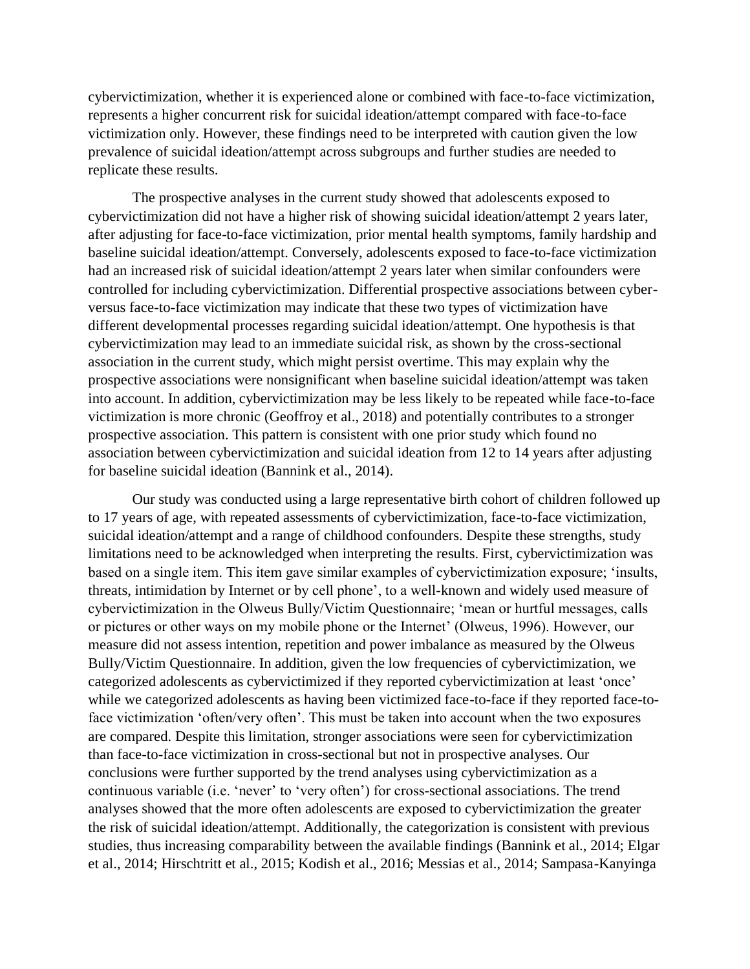cybervictimization, whether it is experienced alone or combined with face-to-face victimization, represents a higher concurrent risk for suicidal ideation/attempt compared with face-to-face victimization only. However, these findings need to be interpreted with caution given the low prevalence of suicidal ideation/attempt across subgroups and further studies are needed to replicate these results.

The prospective analyses in the current study showed that adolescents exposed to cybervictimization did not have a higher risk of showing suicidal ideation/attempt 2 years later, after adjusting for face-to-face victimization, prior mental health symptoms, family hardship and baseline suicidal ideation/attempt. Conversely, adolescents exposed to face-to-face victimization had an increased risk of suicidal ideation/attempt 2 years later when similar confounders were controlled for including cybervictimization. Differential prospective associations between cyberversus face-to-face victimization may indicate that these two types of victimization have different developmental processes regarding suicidal ideation/attempt. One hypothesis is that cybervictimization may lead to an immediate suicidal risk, as shown by the cross-sectional association in the current study, which might persist overtime. This may explain why the prospective associations were nonsignificant when baseline suicidal ideation/attempt was taken into account. In addition, cybervictimization may be less likely to be repeated while face-to-face victimization is more chronic (Geoffroy et al., 2018) and potentially contributes to a stronger prospective association. This pattern is consistent with one prior study which found no association between cybervictimization and suicidal ideation from 12 to 14 years after adjusting for baseline suicidal ideation (Bannink et al., 2014).

Our study was conducted using a large representative birth cohort of children followed up to 17 years of age, with repeated assessments of cybervictimization, face-to-face victimization, suicidal ideation/attempt and a range of childhood confounders. Despite these strengths, study limitations need to be acknowledged when interpreting the results. First, cybervictimization was based on a single item. This item gave similar examples of cybervictimization exposure; 'insults, threats, intimidation by Internet or by cell phone', to a well-known and widely used measure of cybervictimization in the Olweus Bully/Victim Questionnaire; 'mean or hurtful messages, calls or pictures or other ways on my mobile phone or the Internet' (Olweus, 1996). However, our measure did not assess intention, repetition and power imbalance as measured by the Olweus Bully/Victim Questionnaire. In addition, given the low frequencies of cybervictimization, we categorized adolescents as cybervictimized if they reported cybervictimization at least 'once' while we categorized adolescents as having been victimized face-to-face if they reported face-toface victimization 'often/very often'. This must be taken into account when the two exposures are compared. Despite this limitation, stronger associations were seen for cybervictimization than face-to-face victimization in cross-sectional but not in prospective analyses. Our conclusions were further supported by the trend analyses using cybervictimization as a continuous variable (i.e. 'never' to 'very often') for cross-sectional associations. The trend analyses showed that the more often adolescents are exposed to cybervictimization the greater the risk of suicidal ideation/attempt. Additionally, the categorization is consistent with previous studies, thus increasing comparability between the available findings (Bannink et al., 2014; Elgar et al., 2014; Hirschtritt et al., 2015; Kodish et al., 2016; Messias et al., 2014; Sampasa-Kanyinga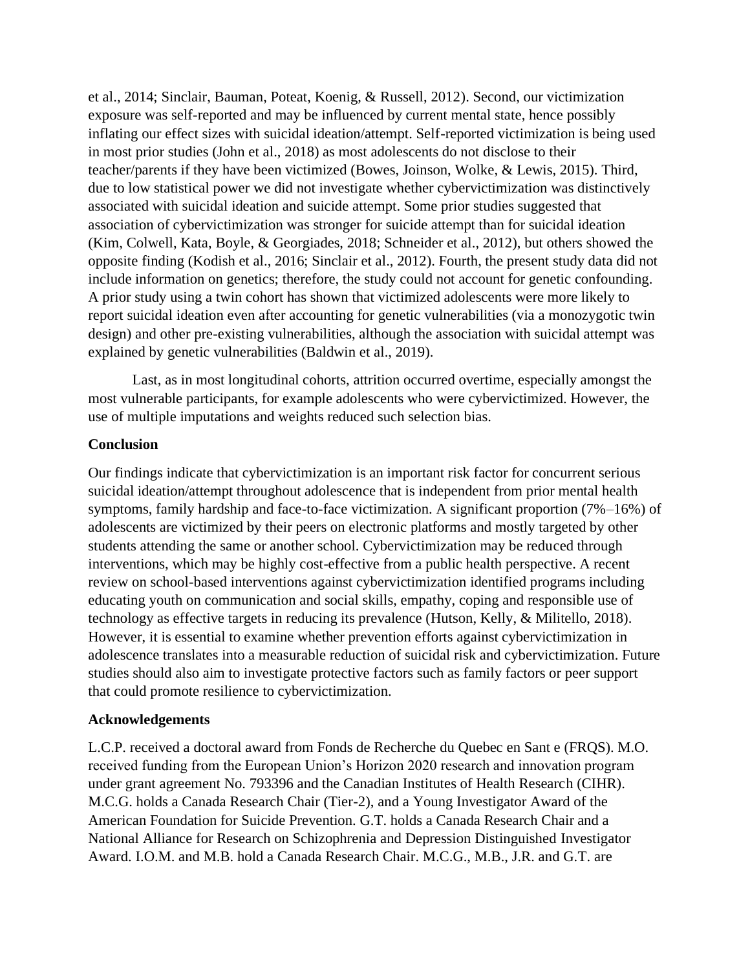et al., 2014; Sinclair, Bauman, Poteat, Koenig, & Russell, 2012). Second, our victimization exposure was self-reported and may be influenced by current mental state, hence possibly inflating our effect sizes with suicidal ideation/attempt. Self-reported victimization is being used in most prior studies (John et al., 2018) as most adolescents do not disclose to their teacher/parents if they have been victimized (Bowes, Joinson, Wolke, & Lewis, 2015). Third, due to low statistical power we did not investigate whether cybervictimization was distinctively associated with suicidal ideation and suicide attempt. Some prior studies suggested that association of cybervictimization was stronger for suicide attempt than for suicidal ideation (Kim, Colwell, Kata, Boyle, & Georgiades, 2018; Schneider et al., 2012), but others showed the opposite finding (Kodish et al., 2016; Sinclair et al., 2012). Fourth, the present study data did not include information on genetics; therefore, the study could not account for genetic confounding. A prior study using a twin cohort has shown that victimized adolescents were more likely to report suicidal ideation even after accounting for genetic vulnerabilities (via a monozygotic twin design) and other pre-existing vulnerabilities, although the association with suicidal attempt was explained by genetic vulnerabilities (Baldwin et al., 2019).

Last, as in most longitudinal cohorts, attrition occurred overtime, especially amongst the most vulnerable participants, for example adolescents who were cybervictimized. However, the use of multiple imputations and weights reduced such selection bias.

### **Conclusion**

Our findings indicate that cybervictimization is an important risk factor for concurrent serious suicidal ideation/attempt throughout adolescence that is independent from prior mental health symptoms, family hardship and face-to-face victimization. A significant proportion (7%–16%) of adolescents are victimized by their peers on electronic platforms and mostly targeted by other students attending the same or another school. Cybervictimization may be reduced through interventions, which may be highly cost-effective from a public health perspective. A recent review on school-based interventions against cybervictimization identified programs including educating youth on communication and social skills, empathy, coping and responsible use of technology as effective targets in reducing its prevalence (Hutson, Kelly, & Militello, 2018). However, it is essential to examine whether prevention efforts against cybervictimization in adolescence translates into a measurable reduction of suicidal risk and cybervictimization. Future studies should also aim to investigate protective factors such as family factors or peer support that could promote resilience to cybervictimization.

### **Acknowledgements**

L.C.P. received a doctoral award from Fonds de Recherche du Quebec en Sant e (FRQS). M.O. received funding from the European Union's Horizon 2020 research and innovation program under grant agreement No. 793396 and the Canadian Institutes of Health Research (CIHR). M.C.G. holds a Canada Research Chair (Tier-2), and a Young Investigator Award of the American Foundation for Suicide Prevention. G.T. holds a Canada Research Chair and a National Alliance for Research on Schizophrenia and Depression Distinguished Investigator Award. I.O.M. and M.B. hold a Canada Research Chair. M.C.G., M.B., J.R. and G.T. are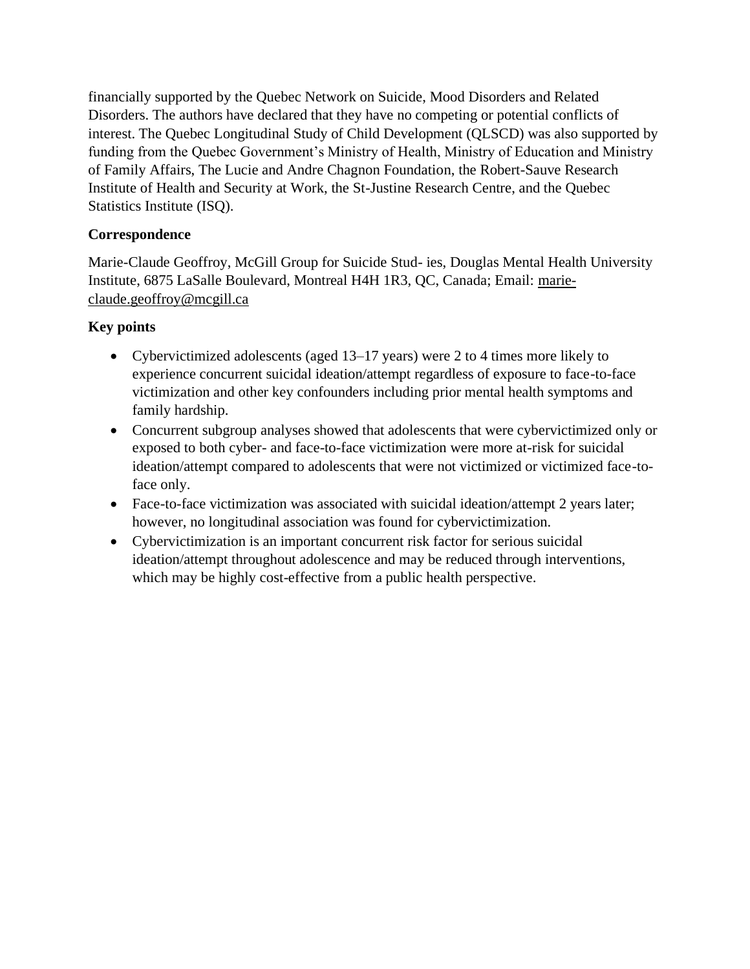financially supported by the Quebec Network on Suicide, Mood Disorders and Related Disorders. The authors have declared that they have no competing or potential conflicts of interest. The Quebec Longitudinal Study of Child Development (QLSCD) was also supported by funding from the Quebec Government's Ministry of Health, Ministry of Education and Ministry of Family Affairs, The Lucie and Andre Chagnon Foundation, the Robert-Sauve Research Institute of Health and Security at Work, the St-Justine Research Centre, and the Quebec Statistics Institute (ISQ).

# **Correspondence**

Marie-Claude Geoffroy, McGill Group for Suicide Stud- ies, Douglas Mental Health University Institute, 6875 LaSalle Boulevard, Montreal H4H 1R3, QC, Canada; Email: [marie](mailto:marie-claude.geoffroy@mcgill.ca)[claude.geoffroy@mcgill.ca](mailto:marie-claude.geoffroy@mcgill.ca)

# **Key points**

- Cybervictimized adolescents (aged 13–17 years) were 2 to 4 times more likely to experience concurrent suicidal ideation/attempt regardless of exposure to face-to-face victimization and other key confounders including prior mental health symptoms and family hardship.
- Concurrent subgroup analyses showed that adolescents that were cybervictimized only or exposed to both cyber- and face-to-face victimization were more at-risk for suicidal ideation/attempt compared to adolescents that were not victimized or victimized face-toface only.
- Face-to-face victimization was associated with suicidal ideation/attempt 2 years later; however, no longitudinal association was found for cybervictimization.
- Cybervictimization is an important concurrent risk factor for serious suicidal ideation/attempt throughout adolescence and may be reduced through interventions, which may be highly cost-effective from a public health perspective.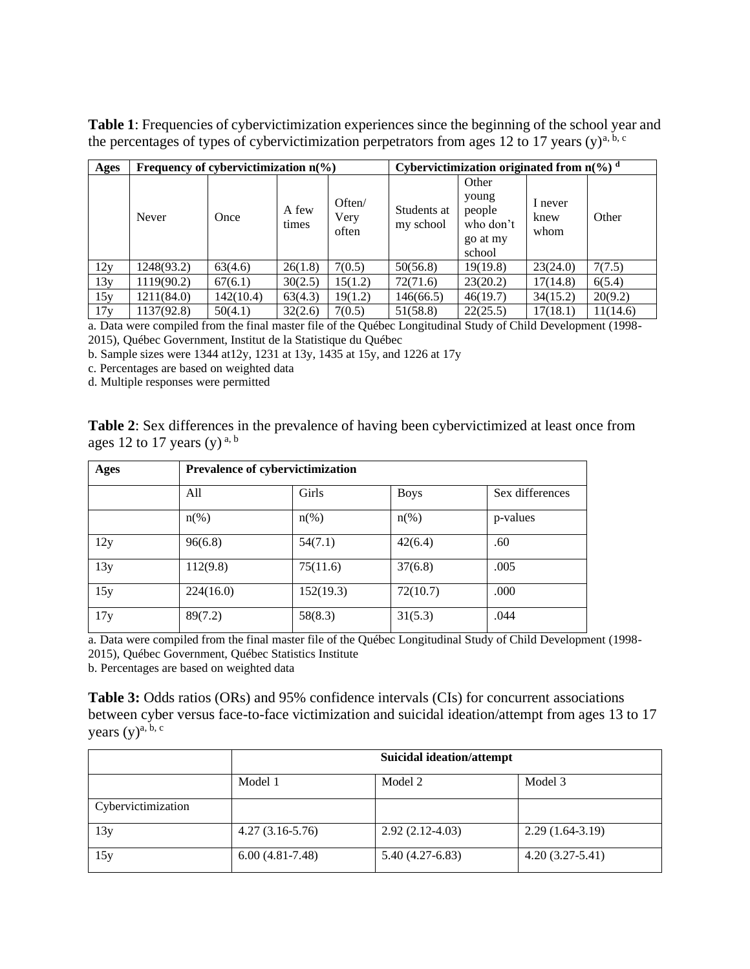**Table 1**: Frequencies of cybervictimization experiences since the beginning of the school year and the percentages of types of cybervictimization perpetrators from ages 12 to 17 years (y)<sup>a, b, c</sup>

| Ages | Frequency of cybervictimization $n(\%)$ |           |                |                         | Cybervictimization originated from $n\frac{6}{6}$ d |                                                             |                         |          |
|------|-----------------------------------------|-----------|----------------|-------------------------|-----------------------------------------------------|-------------------------------------------------------------|-------------------------|----------|
|      | Never                                   | Once      | A few<br>times | Often/<br>Very<br>often | Students at<br>my school                            | Other<br>young<br>people<br>who don't<br>go at my<br>school | I never<br>knew<br>whom | Other    |
| 12y  | 1248(93.2)                              | 63(4.6)   | 26(1.8)        | 7(0.5)                  | 50(56.8)                                            | 19(19.8)                                                    | 23(24.0)                | 7(7.5)   |
| 13y  | 1119(90.2)                              | 67(6.1)   | 30(2.5)        | 15(1.2)                 | 72(71.6)                                            | 23(20.2)                                                    | 17(14.8)                | 6(5.4)   |
| 15y  | 1211(84.0)                              | 142(10.4) | 63(4.3)        | 19(1.2)                 | 146(66.5)                                           | 46(19.7)                                                    | 34(15.2)                | 20(9.2)  |
| 17y  | 1137(92.8)                              | 50(4.1)   | 32(2.6)        | 7(0.5)                  | 51(58.8)                                            | 22(25.5)                                                    | 17(18.1)                | 11(14.6) |

a. Data were compiled from the final master file of the Québec Longitudinal Study of Child Development (1998- 2015), Québec Government, Institut de la Statistique du Québec

b. Sample sizes were 1344 at12y, 1231 at 13y, 1435 at 15y, and 1226 at 17y

c. Percentages are based on weighted data

d. Multiple responses were permitted

|                                         | <b>Table 2:</b> Sex differences in the prevalence of having been cybervictimized at least once from |
|-----------------------------------------|-----------------------------------------------------------------------------------------------------|
| ages 12 to 17 years (y) <sup>a, b</sup> |                                                                                                     |

| Ages | Prevalence of cybervictimization |                    |             |                 |  |
|------|----------------------------------|--------------------|-------------|-----------------|--|
|      | All                              | Girls              | <b>Boys</b> | Sex differences |  |
|      | $n\left(\%\right)$               | $n\left(\%\right)$ | $n(\%)$     | p-values        |  |
| 12y  | 96(6.8)                          | 54(7.1)            | 42(6.4)     | .60             |  |
| 13y  | 112(9.8)                         | 75(11.6)           | 37(6.8)     | .005            |  |
| 15y  | 224(16.0)                        | 152(19.3)          | 72(10.7)    | .000            |  |
| 17y  | 89(7.2)                          | 58(8.3)            | 31(5.3)     | .044            |  |

a. Data were compiled from the final master file of the Québec Longitudinal Study of Child Development (1998- 2015), Québec Government, Québec Statistics Institute

b. Percentages are based on weighted data

**Table 3:** Odds ratios (ORs) and 95% confidence intervals (CIs) for concurrent associations between cyber versus face-to-face victimization and suicidal ideation/attempt from ages 13 to 17 years  $(y)$ <sup>a, b, c</sup>

|                    | <b>Suicidal ideation/attempt</b> |                   |                   |  |
|--------------------|----------------------------------|-------------------|-------------------|--|
|                    | Model 1                          | Model 2           | Model 3           |  |
| Cybervictimization |                                  |                   |                   |  |
| 13y                | $4.27(3.16-5.76)$                | $2.92(2.12-4.03)$ | $2.29(1.64-3.19)$ |  |
| 15y                | $6.00(4.81-7.48)$                | $5.40(4.27-6.83)$ | $4.20(3.27-5.41)$ |  |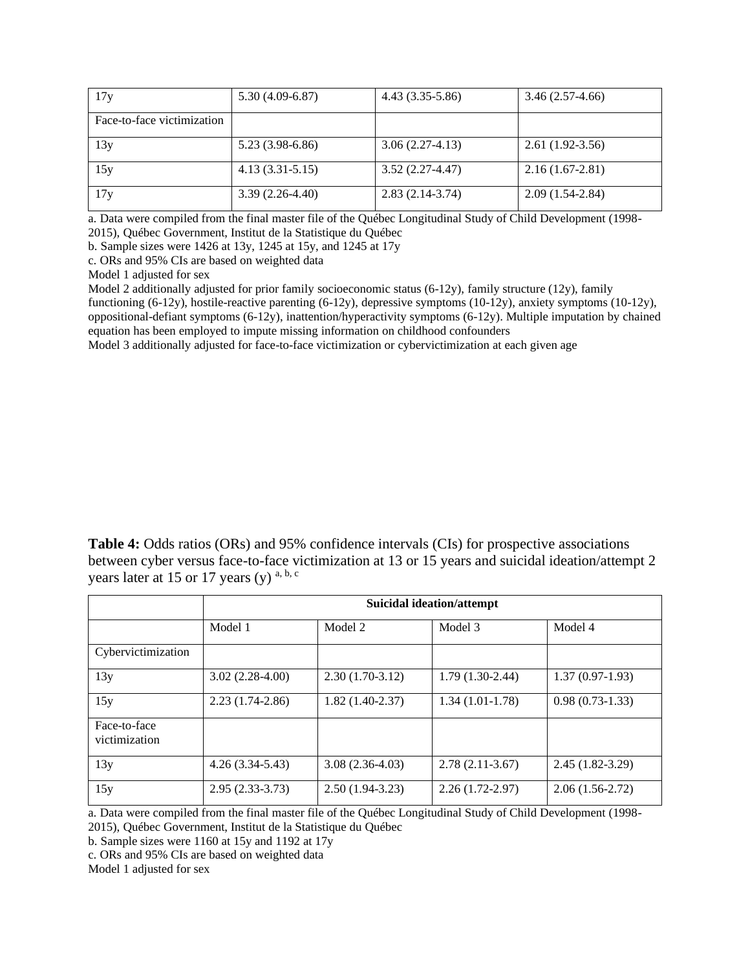| 17y                        | $5.30(4.09-6.87)$   | $4.43(3.35-5.86)$ | $3.46(2.57-4.66)$ |
|----------------------------|---------------------|-------------------|-------------------|
| Face-to-face victimization |                     |                   |                   |
| 13y                        | $5.23(3.98-6.86)$   | $3.06(2.27-4.13)$ | $2.61(1.92-3.56)$ |
| 15y                        | $4.13(3.31 - 5.15)$ | $3.52(2.27-4.47)$ | $2.16(1.67-2.81)$ |
| 17y                        | $3.39(2.26-4.40)$   | $2.83(2.14-3.74)$ | $2.09(1.54-2.84)$ |

a. Data were compiled from the final master file of the Québec Longitudinal Study of Child Development (1998- 2015), Québec Government, Institut de la Statistique du Québec

b. Sample sizes were 1426 at 13y, 1245 at 15y, and 1245 at 17y

c. ORs and 95% CIs are based on weighted data

Model 1 adjusted for sex

Model 2 additionally adjusted for prior family socioeconomic status (6-12y), family structure (12y), family functioning (6-12y), hostile-reactive parenting (6-12y), depressive symptoms (10-12y), anxiety symptoms (10-12y), oppositional-defiant symptoms (6-12y), inattention/hyperactivity symptoms (6-12y). Multiple imputation by chained equation has been employed to impute missing information on childhood confounders

Model 3 additionally adjusted for face-to-face victimization or cybervictimization at each given age

**Table 4:** Odds ratios (ORs) and 95% confidence intervals (CIs) for prospective associations between cyber versus face-to-face victimization at 13 or 15 years and suicidal ideation/attempt 2 years later at 15 or 17 years (y)  $a, b, c$ 

|                               | <b>Suicidal ideation/attempt</b> |                   |                     |                   |  |
|-------------------------------|----------------------------------|-------------------|---------------------|-------------------|--|
|                               | Model 1                          | Model 2           | Model 3             | Model 4           |  |
| Cybervictimization            |                                  |                   |                     |                   |  |
| 13y                           | $3.02(2.28-4.00)$                | $2.30(1.70-3.12)$ | $1.79(1.30-2.44)$   | $1.37(0.97-1.93)$ |  |
| 15y                           | $2.23(1.74-2.86)$                | $1.82(1.40-2.37)$ | $1.34(1.01-1.78)$   | $0.98(0.73-1.33)$ |  |
| Face-to-face<br>victimization |                                  |                   |                     |                   |  |
| 13y                           | $4.26(3.34-5.43)$                | $3.08(2.36-4.03)$ | $2.78(2.11-3.67)$   | $2.45(1.82-3.29)$ |  |
| 15y                           | $2.95(2.33-3.73)$                | $2.50(1.94-3.23)$ | $2.26(1.72 - 2.97)$ | $2.06(1.56-2.72)$ |  |

a. Data were compiled from the final master file of the Québec Longitudinal Study of Child Development (1998-

2015), Québec Government, Institut de la Statistique du Québec

b. Sample sizes were 1160 at 15y and 1192 at 17y

c. ORs and 95% CIs are based on weighted data

Model 1 adjusted for sex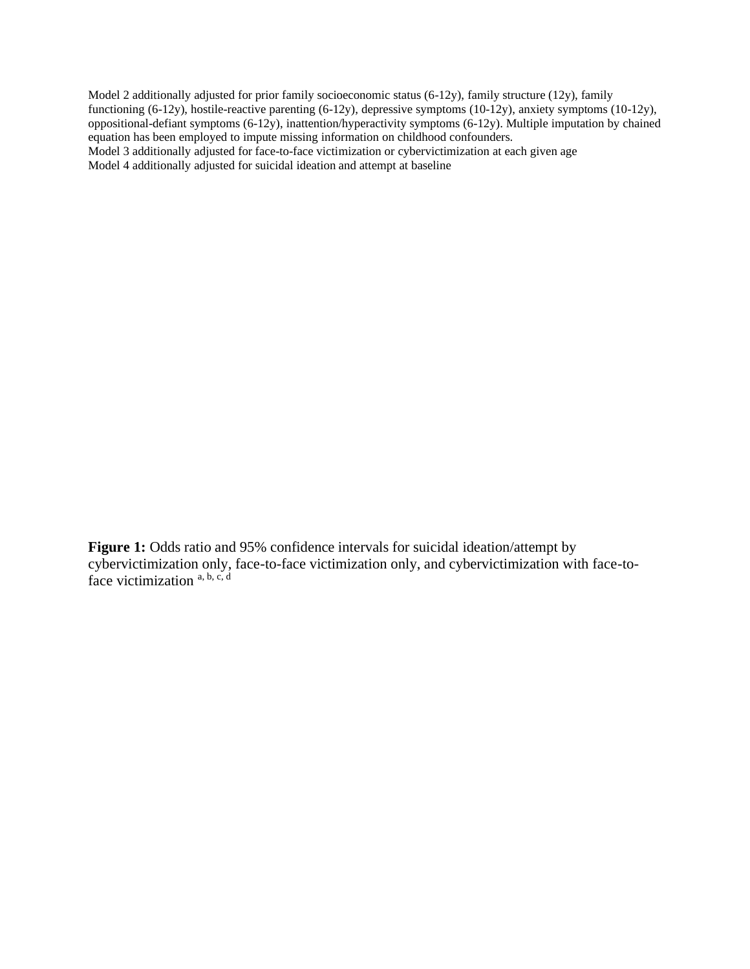Model 2 additionally adjusted for prior family socioeconomic status (6-12y), family structure (12y), family functioning (6-12y), hostile-reactive parenting (6-12y), depressive symptoms (10-12y), anxiety symptoms (10-12y), oppositional-defiant symptoms (6-12y), inattention/hyperactivity symptoms (6-12y). Multiple imputation by chained equation has been employed to impute missing information on childhood confounders. Model 3 additionally adjusted for face-to-face victimization or cybervictimization at each given age Model 4 additionally adjusted for suicidal ideation and attempt at baseline

Figure 1: Odds ratio and 95% confidence intervals for suicidal ideation/attempt by cybervictimization only, face-to-face victimization only, and cybervictimization with face-toface victimization  $a, b, c, d$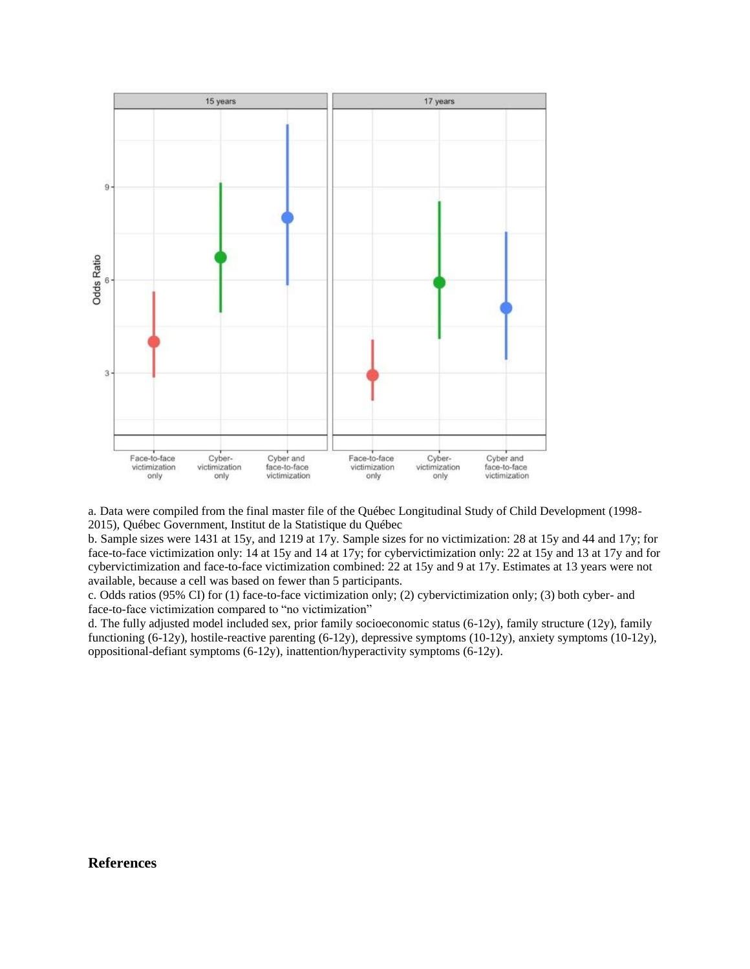

a. Data were compiled from the final master file of the Québec Longitudinal Study of Child Development (1998- 2015), Québec Government, Institut de la Statistique du Québec

b. Sample sizes were 1431 at 15y, and 1219 at 17y. Sample sizes for no victimization: 28 at 15y and 44 and 17y; for face-to-face victimization only: 14 at 15y and 14 at 17y; for cybervictimization only: 22 at 15y and 13 at 17y and for cybervictimization and face-to-face victimization combined: 22 at 15y and 9 at 17y. Estimates at 13 years were not available, because a cell was based on fewer than 5 participants.

c. Odds ratios (95% CI) for (1) face-to-face victimization only; (2) cybervictimization only; (3) both cyber- and face-to-face victimization compared to "no victimization"

d. The fully adjusted model included sex, prior family socioeconomic status (6-12y), family structure (12y), family functioning (6-12y), hostile-reactive parenting (6-12y), depressive symptoms (10-12y), anxiety symptoms (10-12y), oppositional-defiant symptoms (6-12y), inattention/hyperactivity symptoms (6-12y).

#### **References**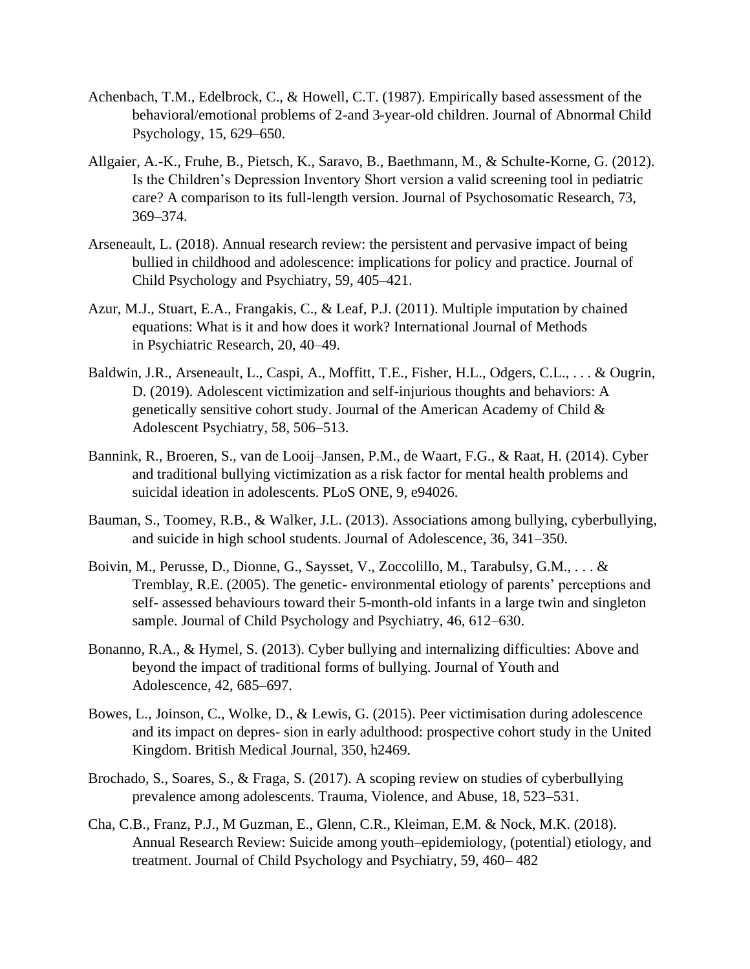- Achenbach, T.M., Edelbrock, C., & Howell, C.T. (1987). Empirically based assessment of the behavioral/emotional problems of 2-and 3-year-old children. Journal of Abnormal Child Psychology, 15, 629–650.
- Allgaier, A.-K., Fruhe, B., Pietsch, K., Saravo, B., Baethmann, M., & Schulte-Korne, G. (2012). Is the Children's Depression Inventory Short version a valid screening tool in pediatric care? A comparison to its full-length version. Journal of Psychosomatic Research, 73, 369–374.
- Arseneault, L. (2018). Annual research review: the persistent and pervasive impact of being bullied in childhood and adolescence: implications for policy and practice. Journal of Child Psychology and Psychiatry, 59, 405–421.
- Azur, M.J., Stuart, E.A., Frangakis, C., & Leaf, P.J. (2011). Multiple imputation by chained equations: What is it and how does it work? International Journal of Methods in Psychiatric Research, 20, 40–49.
- Baldwin, J.R., Arseneault, L., Caspi, A., Moffitt, T.E., Fisher, H.L., Odgers, C.L., . . . & Ougrin, D. (2019). Adolescent victimization and self-injurious thoughts and behaviors: A genetically sensitive cohort study. Journal of the American Academy of Child  $\&$ Adolescent Psychiatry, 58, 506–513.
- Bannink, R., Broeren, S., van de Looij–Jansen, P.M., de Waart, F.G., & Raat, H. (2014). Cyber and traditional bullying victimization as a risk factor for mental health problems and suicidal ideation in adolescents. PLoS ONE, 9, e94026.
- Bauman, S., Toomey, R.B., & Walker, J.L. (2013). Associations among bullying, cyberbullying, and suicide in high school students. Journal of Adolescence, 36, 341–350.
- Boivin, M., Perusse, D., Dionne, G., Saysset, V., Zoccolillo, M., Tarabulsy, G.M., . . . & Tremblay, R.E. (2005). The genetic- environmental etiology of parents' perceptions and self- assessed behaviours toward their 5-month-old infants in a large twin and singleton sample. Journal of Child Psychology and Psychiatry, 46, 612–630.
- Bonanno, R.A., & Hymel, S. (2013). Cyber bullying and internalizing difficulties: Above and beyond the impact of traditional forms of bullying. Journal of Youth and Adolescence, 42, 685–697.
- Bowes, L., Joinson, C., Wolke, D., & Lewis, G. (2015). Peer victimisation during adolescence and its impact on depres- sion in early adulthood: prospective cohort study in the United Kingdom. British Medical Journal, 350, h2469.
- Brochado, S., Soares, S., & Fraga, S. (2017). A scoping review on studies of cyberbullying prevalence among adolescents. Trauma, Violence, and Abuse, 18, 523–531.
- Cha, C.B., Franz, P.J., M Guzman, E., Glenn, C.R., Kleiman, E.M. & Nock, M.K. (2018). Annual Research Review: Suicide among youth–epidemiology, (potential) etiology, and treatment. Journal of Child Psychology and Psychiatry, 59, 460– 482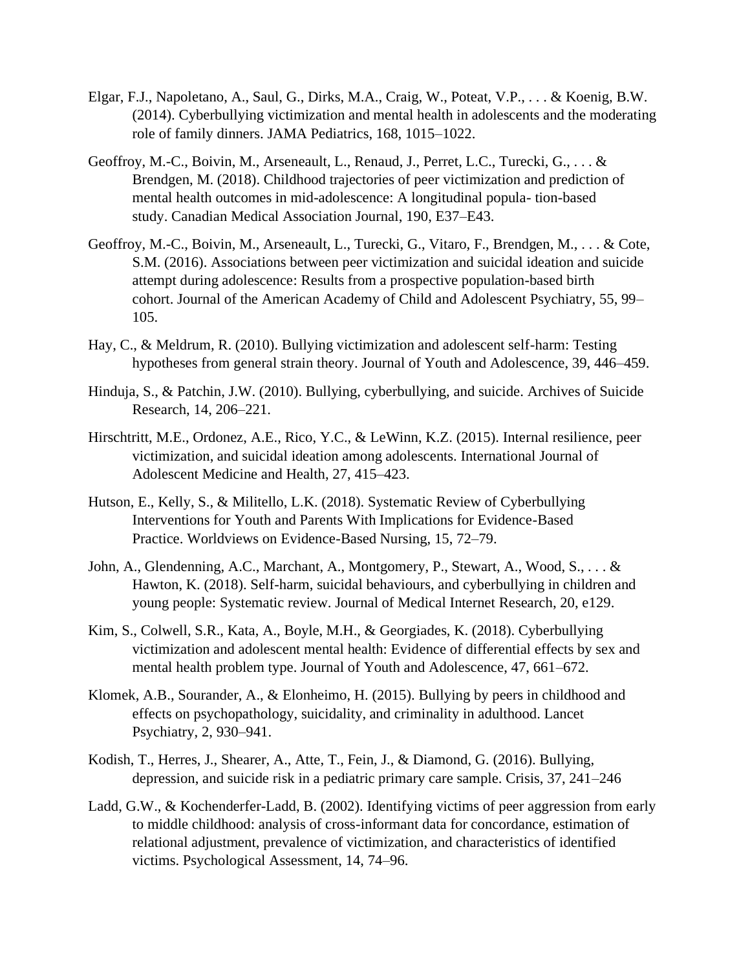- Elgar, F.J., Napoletano, A., Saul, G., Dirks, M.A., Craig, W., Poteat, V.P., . . . & Koenig, B.W. (2014). Cyberbullying victimization and mental health in adolescents and the moderating role of family dinners. JAMA Pediatrics, 168, 1015–1022.
- Geoffroy, M.-C., Boivin, M., Arseneault, L., Renaud, J., Perret, L.C., Turecki, G., . . . & Brendgen, M. (2018). Childhood trajectories of peer victimization and prediction of mental health outcomes in mid-adolescence: A longitudinal popula- tion-based study. Canadian Medical Association Journal, 190, E37–E43.
- Geoffroy, M.-C., Boivin, M., Arseneault, L., Turecki, G., Vitaro, F., Brendgen, M., . . . & Cote, S.M. (2016). Associations between peer victimization and suicidal ideation and suicide attempt during adolescence: Results from a prospective population-based birth cohort. Journal of the American Academy of Child and Adolescent Psychiatry, 55, 99– 105.
- Hay, C., & Meldrum, R. (2010). Bullying victimization and adolescent self-harm: Testing hypotheses from general strain theory. Journal of Youth and Adolescence, 39, 446–459.
- Hinduja, S., & Patchin, J.W. (2010). Bullying, cyberbullying, and suicide. Archives of Suicide Research, 14, 206–221.
- Hirschtritt, M.E., Ordonez, A.E., Rico, Y.C., & LeWinn, K.Z. (2015). Internal resilience, peer victimization, and suicidal ideation among adolescents. International Journal of Adolescent Medicine and Health, 27, 415–423.
- Hutson, E., Kelly, S., & Militello, L.K. (2018). Systematic Review of Cyberbullying Interventions for Youth and Parents With Implications for Evidence-Based Practice. Worldviews on Evidence-Based Nursing, 15, 72–79.
- John, A., Glendenning, A.C., Marchant, A., Montgomery, P., Stewart, A., Wood, S., . . . & Hawton, K. (2018). Self-harm, suicidal behaviours, and cyberbullying in children and young people: Systematic review. Journal of Medical Internet Research, 20, e129.
- Kim, S., Colwell, S.R., Kata, A., Boyle, M.H., & Georgiades, K. (2018). Cyberbullying victimization and adolescent mental health: Evidence of differential effects by sex and mental health problem type. Journal of Youth and Adolescence, 47, 661–672.
- Klomek, A.B., Sourander, A., & Elonheimo, H. (2015). Bullying by peers in childhood and effects on psychopathology, suicidality, and criminality in adulthood. Lancet Psychiatry, 2, 930–941.
- Kodish, T., Herres, J., Shearer, A., Atte, T., Fein, J., & Diamond, G. (2016). Bullying, depression, and suicide risk in a pediatric primary care sample. Crisis, 37, 241–246
- Ladd, G.W., & Kochenderfer-Ladd, B. (2002). Identifying victims of peer aggression from early to middle childhood: analysis of cross-informant data for concordance, estimation of relational adjustment, prevalence of victimization, and characteristics of identified victims. Psychological Assessment, 14, 74–96.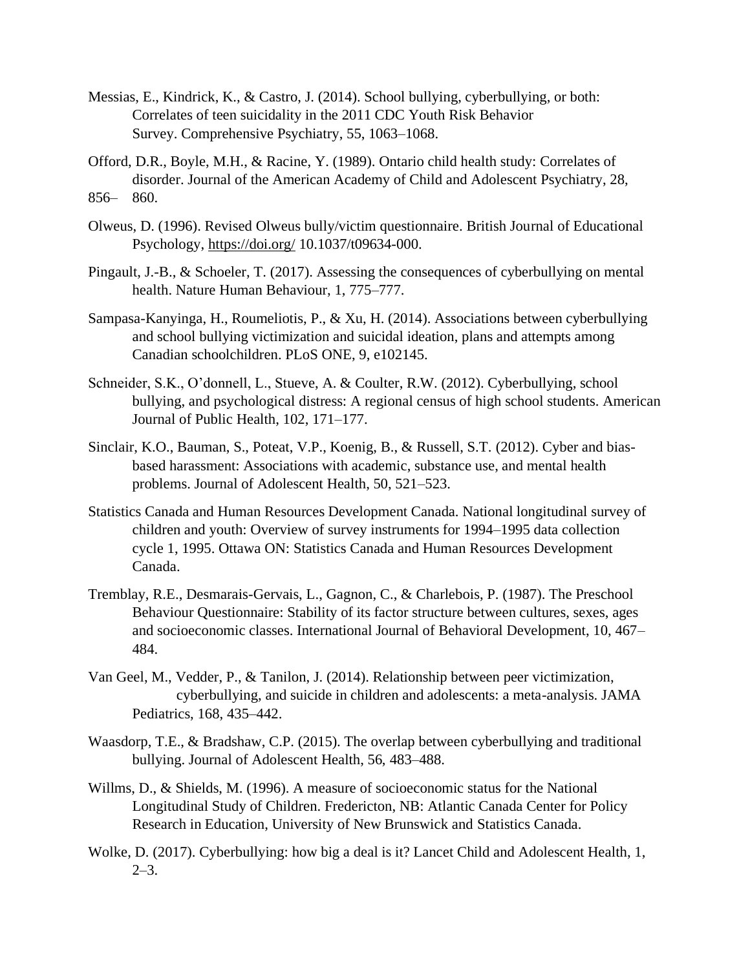- Messias, E., Kindrick, K., & Castro, J. (2014). School bullying, cyberbullying, or both: Correlates of teen suicidality in the 2011 CDC Youth Risk Behavior Survey. Comprehensive Psychiatry, 55, 1063–1068.
- Offord, D.R., Boyle, M.H., & Racine, Y. (1989). Ontario child health study: Correlates of disorder. Journal of the American Academy of Child and Adolescent Psychiatry, 28, 856– 860.
- Olweus, D. (1996). Revised Olweus bully/victim questionnaire. British Journal of Educational Psychology,<https://doi.org/> 10.1037/t09634-000.
- Pingault, J.-B., & Schoeler, T. (2017). Assessing the consequences of cyberbullying on mental health. Nature Human Behaviour, 1, 775–777.
- Sampasa-Kanyinga, H., Roumeliotis, P., & Xu, H. (2014). Associations between cyberbullying and school bullying victimization and suicidal ideation, plans and attempts among Canadian schoolchildren. PLoS ONE, 9, e102145.
- Schneider, S.K., O'donnell, L., Stueve, A. & Coulter, R.W. (2012). Cyberbullying, school bullying, and psychological distress: A regional census of high school students. American Journal of Public Health, 102, 171–177.
- Sinclair, K.O., Bauman, S., Poteat, V.P., Koenig, B., & Russell, S.T. (2012). Cyber and biasbased harassment: Associations with academic, substance use, and mental health problems. Journal of Adolescent Health, 50, 521–523.
- Statistics Canada and Human Resources Development Canada. National longitudinal survey of children and youth: Overview of survey instruments for 1994–1995 data collection cycle 1, 1995. Ottawa ON: Statistics Canada and Human Resources Development Canada.
- Tremblay, R.E., Desmarais-Gervais, L., Gagnon, C., & Charlebois, P. (1987). The Preschool Behaviour Questionnaire: Stability of its factor structure between cultures, sexes, ages and socioeconomic classes. International Journal of Behavioral Development, 10, 467– 484.
- Van Geel, M., Vedder, P., & Tanilon, J. (2014). Relationship between peer victimization, cyberbullying, and suicide in children and adolescents: a meta-analysis. JAMA Pediatrics, 168, 435–442.
- Waasdorp, T.E., & Bradshaw, C.P. (2015). The overlap between cyberbullying and traditional bullying. Journal of Adolescent Health, 56, 483–488.
- Willms, D., & Shields, M. (1996). A measure of socioeconomic status for the National Longitudinal Study of Children. Fredericton, NB: Atlantic Canada Center for Policy Research in Education, University of New Brunswick and Statistics Canada.
- Wolke, D. (2017). Cyberbullying: how big a deal is it? Lancet Child and Adolescent Health, 1,  $2-3$ .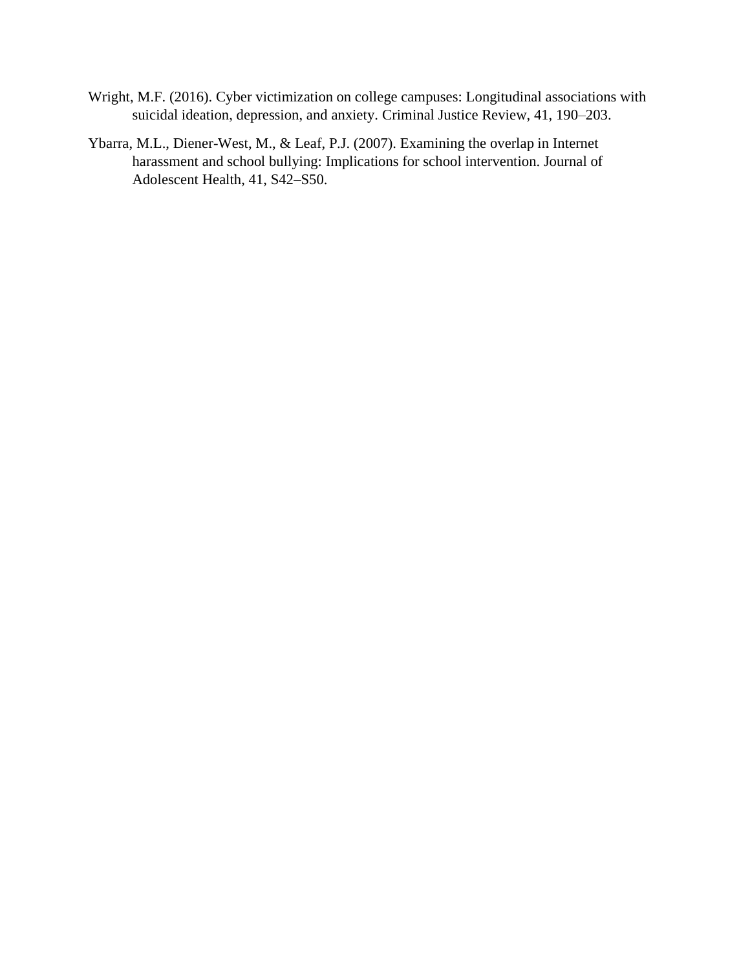- Wright, M.F. (2016). Cyber victimization on college campuses: Longitudinal associations with suicidal ideation, depression, and anxiety. Criminal Justice Review, 41, 190–203.
- Ybarra, M.L., Diener-West, M., & Leaf, P.J. (2007). Examining the overlap in Internet harassment and school bullying: Implications for school intervention. Journal of Adolescent Health, 41, S42–S50.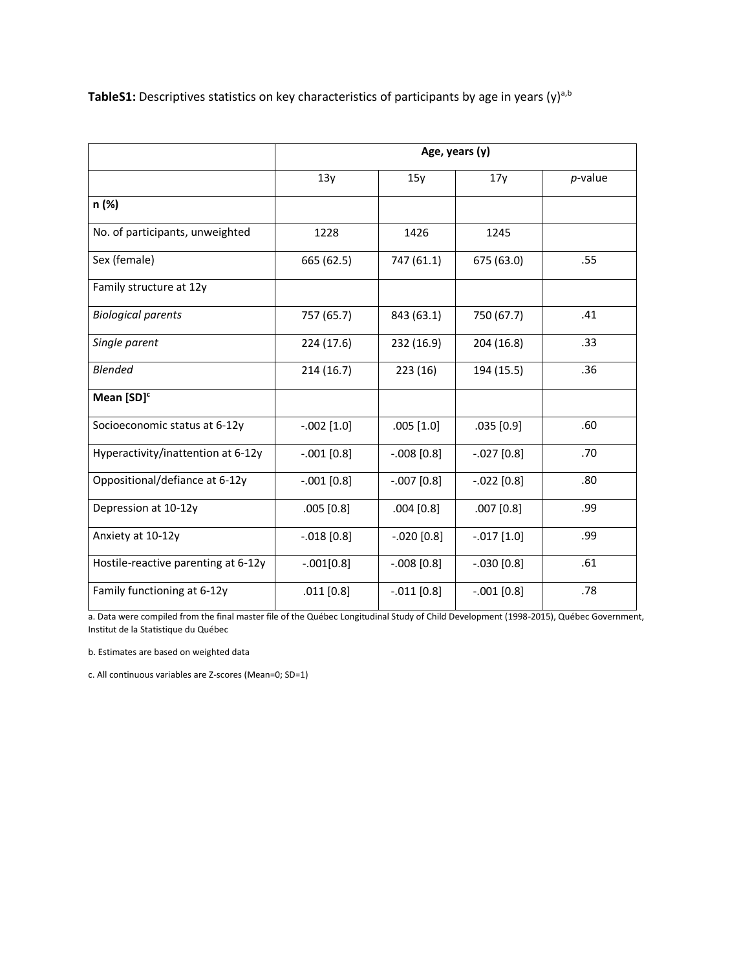TableS1: Descriptives statistics on key characteristics of participants by age in years (y)<sup>a,b</sup>

|                                     | Age, years (y) |                |               |            |
|-------------------------------------|----------------|----------------|---------------|------------|
|                                     | 13y            | 15y            | 17y           | $p$ -value |
| n (%)                               |                |                |               |            |
| No. of participants, unweighted     | 1228           | 1426           | 1245          |            |
| Sex (female)                        | 665 (62.5)     | 747 (61.1)     | 675 (63.0)    | .55        |
| Family structure at 12y             |                |                |               |            |
| <b>Biological parents</b>           | 757 (65.7)     | 843 (63.1)     | 750 (67.7)    | .41        |
| Single parent                       | 224 (17.6)     | 232 (16.9)     | 204 (16.8)    | .33        |
| <b>Blended</b>                      | 214(16.7)      | 223(16)        | 194 (15.5)    | .36        |
| Mean [SD] <sup>c</sup>              |                |                |               |            |
| Socioeconomic status at 6-12y       | $-.002$ [1.0]  | $.005$ [1.0]   | .035[0.9]     | .60        |
| Hyperactivity/inattention at 6-12y  | $-.001$ [0.8]  | $-0.008$ [0.8] | $-.027$ [0.8] | .70        |
| Oppositional/defiance at 6-12y      | $-.001$ [0.8]  | $-007$ [0.8]   | $-.022$ [0.8] | .80        |
| Depression at 10-12y                | .005 [0.8]     | $.004$ [0.8]   | $.007$ [0.8]  | .99        |
| Anxiety at 10-12y                   | $-.018$ [0.8]  | $-.020$ [0.8]  | $-.017$ [1.0] | .99        |
| Hostile-reactive parenting at 6-12y | $-.001[0.8]$   | $-.008$ [0.8]  | $-.030$ [0.8] | .61        |
| Family functioning at 6-12y         | $.011$ [0.8]   | $-0.011$ [0.8] | $-.001$ [0.8] | .78        |

a. Data were compiled from the final master file of the Québec Longitudinal Study of Child Development (1998-2015), Québec Government, Institut de la Statistique du Québec

b. Estimates are based on weighted data

c. All continuous variables are Z-scores (Mean=0; SD=1)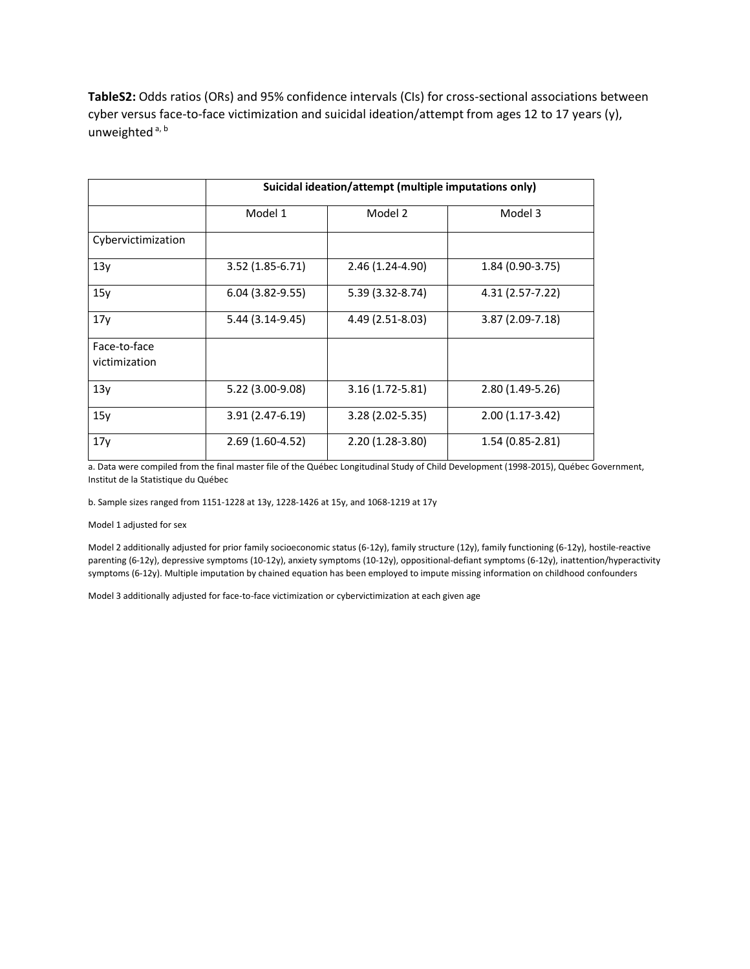**TableS2:** Odds ratios (ORs) and 95% confidence intervals (CIs) for cross-sectional associations between cyber versus face-to-face victimization and suicidal ideation/attempt from ages 12 to 17 years (y), unweighted<sup>a, b</sup>

|                               | Suicidal ideation/attempt (multiple imputations only) |                     |                   |  |
|-------------------------------|-------------------------------------------------------|---------------------|-------------------|--|
|                               | Model 1                                               | Model 2             | Model 3           |  |
| Cybervictimization            |                                                       |                     |                   |  |
| 13y                           | $3.52(1.85 - 6.71)$                                   | 2.46 (1.24-4.90)    | $1.84(0.90-3.75)$ |  |
| 15y                           | $6.04(3.82-9.55)$                                     | 5.39 (3.32-8.74)    | 4.31 (2.57-7.22)  |  |
| 17y                           | 5.44 (3.14-9.45)                                      | 4.49 (2.51-8.03)    | 3.87 (2.09-7.18)  |  |
| Face-to-face<br>victimization |                                                       |                     |                   |  |
| 13y                           | 5.22 (3.00-9.08)                                      | $3.16(1.72 - 5.81)$ | $2.80(1.49-5.26)$ |  |
| 15y                           | 3.91 (2.47-6.19)                                      | $3.28(2.02 - 5.35)$ | $2.00(1.17-3.42)$ |  |
| 17y                           | $2.69(1.60-4.52)$                                     | $2.20(1.28-3.80)$   | 1.54 (0.85-2.81)  |  |

a. Data were compiled from the final master file of the Québec Longitudinal Study of Child Development (1998-2015), Québec Government, Institut de la Statistique du Québec

b. Sample sizes ranged from 1151-1228 at 13y, 1228-1426 at 15y, and 1068-1219 at 17y

Model 1 adjusted for sex

Model 2 additionally adjusted for prior family socioeconomic status (6-12y), family structure (12y), family functioning (6-12y), hostile-reactive parenting (6-12y), depressive symptoms (10-12y), anxiety symptoms (10-12y), oppositional-defiant symptoms (6-12y), inattention/hyperactivity symptoms (6-12y). Multiple imputation by chained equation has been employed to impute missing information on childhood confounders

Model 3 additionally adjusted for face-to-face victimization or cybervictimization at each given age